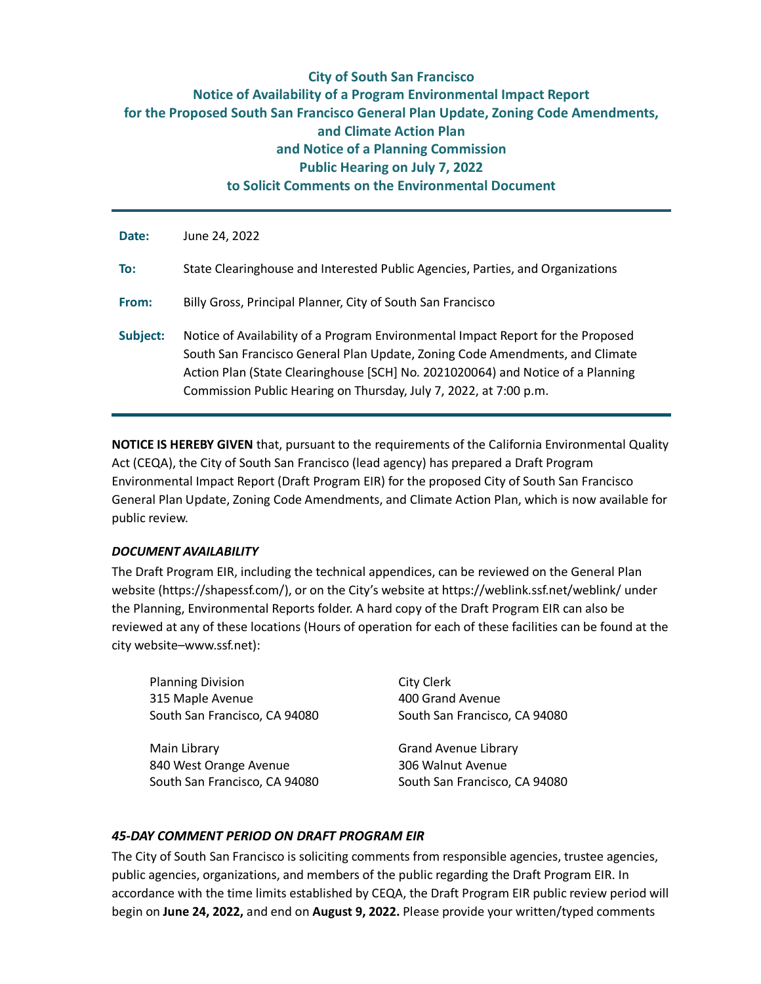# **City of South San Francisco Notice of Availability of a Program Environmental Impact Report for the Proposed South San Francisco General Plan Update, Zoning Code Amendments, and Climate Action Plan and Notice of a Planning Commission Public Hearing on July 7, 2022 to Solicit Comments on the Environmental Document**

| Date:    | June 24, 2022                                                                                                                                                                                                                                                                                                            |
|----------|--------------------------------------------------------------------------------------------------------------------------------------------------------------------------------------------------------------------------------------------------------------------------------------------------------------------------|
| To:      | State Clearinghouse and Interested Public Agencies, Parties, and Organizations                                                                                                                                                                                                                                           |
| From:    | Billy Gross, Principal Planner, City of South San Francisco                                                                                                                                                                                                                                                              |
| Subject: | Notice of Availability of a Program Environmental Impact Report for the Proposed<br>South San Francisco General Plan Update, Zoning Code Amendments, and Climate<br>Action Plan (State Clearinghouse [SCH] No. 2021020064) and Notice of a Planning<br>Commission Public Hearing on Thursday, July 7, 2022, at 7:00 p.m. |

**NOTICE IS HEREBY GIVEN** that, pursuant to the requirements of the California Environmental Quality Act (CEQA), the City of South San Francisco (lead agency) has prepared a Draft Program Environmental Impact Report (Draft Program EIR) for the proposed City of South San Francisco General Plan Update, Zoning Code Amendments, and Climate Action Plan, which is now available for public review.

# *DOCUMENT AVAILABILITY*

The Draft Program EIR, including the technical appendices, can be reviewed on the General Plan website (https://shapessf.com/), or on the City's website at https://weblink.ssf.net/weblink/ under the Planning, Environmental Reports folder. A hard copy of the Draft Program EIR can also be reviewed at any of these locations (Hours of operation for each of these facilities can be found at the city website–www.ssf.net):

Planning Division 315 Maple Avenue South San Francisco, CA 94080

Main Library 840 West Orange Avenue South San Francisco, CA 94080

City Clerk 400 Grand Avenue South San Francisco, CA 94080

Grand Avenue Library 306 Walnut Avenue South San Francisco, CA 94080

# *45-DAY COMMENT PERIOD ON DRAFT PROGRAM EIR*

The City of South San Francisco is soliciting comments from responsible agencies, trustee agencies, public agencies, organizations, and members of the public regarding the Draft Program EIR. In accordance with the time limits established by CEQA, the Draft Program EIR public review period will begin on **June 24, 2022,** and end on **August 9, 2022.** Please provide your written/typed comments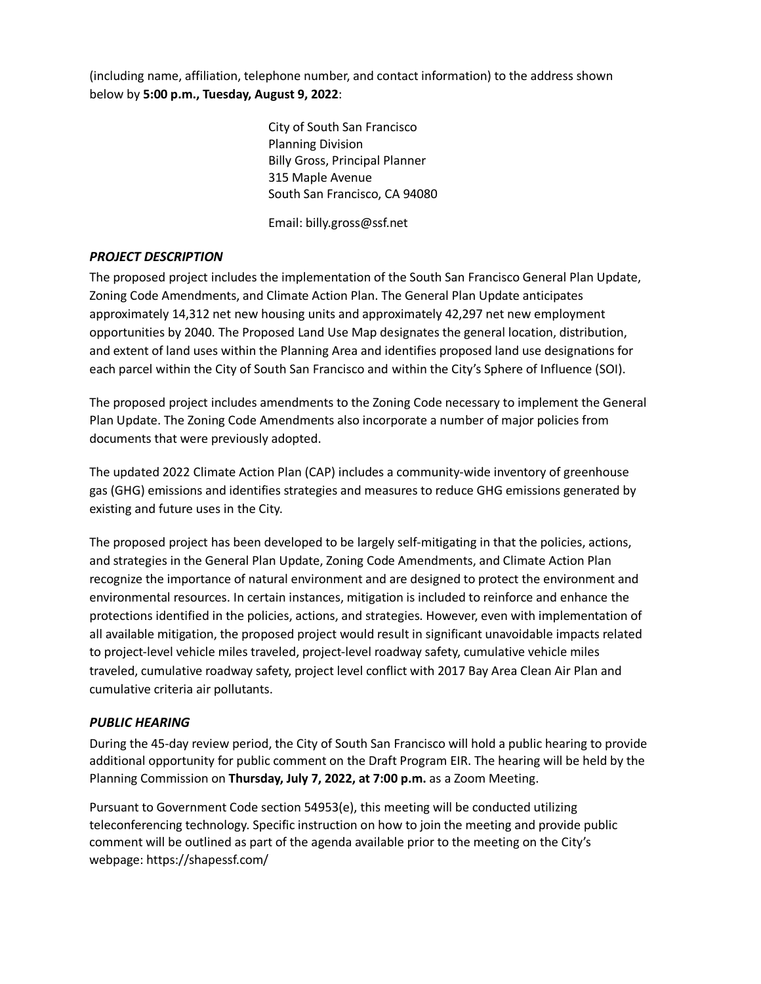(including name, affiliation, telephone number, and contact information) to the address shown below by **5:00 p.m., Tuesday, August 9, 2022**:

> City of South San Francisco Planning Division Billy Gross, Principal Planner 315 Maple Avenue South San Francisco, CA 94080

Email: billy.gross@ssf.net

## *PROJECT DESCRIPTION*

The proposed project includes the implementation of the South San Francisco General Plan Update, Zoning Code Amendments, and Climate Action Plan. The General Plan Update anticipates approximately 14,312 net new housing units and approximately 42,297 net new employment opportunities by 2040. The Proposed Land Use Map designates the general location, distribution, and extent of land uses within the Planning Area and identifies proposed land use designations for each parcel within the City of South San Francisco and within the City's Sphere of Influence (SOI).

The proposed project includes amendments to the Zoning Code necessary to implement the General Plan Update. The Zoning Code Amendments also incorporate a number of major policies from documents that were previously adopted.

The updated 2022 Climate Action Plan (CAP) includes a community-wide inventory of greenhouse gas (GHG) emissions and identifies strategies and measures to reduce GHG emissions generated by existing and future uses in the City.

The proposed project has been developed to be largely self-mitigating in that the policies, actions, and strategies in the General Plan Update, Zoning Code Amendments, and Climate Action Plan recognize the importance of natural environment and are designed to protect the environment and environmental resources. In certain instances, mitigation is included to reinforce and enhance the protections identified in the policies, actions, and strategies. However, even with implementation of all available mitigation, the proposed project would result in significant unavoidable impacts related to project-level vehicle miles traveled, project-level roadway safety, cumulative vehicle miles traveled, cumulative roadway safety, project level conflict with 2017 Bay Area Clean Air Plan and cumulative criteria air pollutants.

### *PUBLIC HEARING*

During the 45-day review period, the City of South San Francisco will hold a public hearing to provide additional opportunity for public comment on the Draft Program EIR. The hearing will be held by the Planning Commission on **Thursday, July 7, 2022, at 7:00 p.m.** as a Zoom Meeting.

Pursuant to Government Code section 54953(e), this meeting will be conducted utilizing teleconferencing technology. Specific instruction on how to join the meeting and provide public comment will be outlined as part of the agenda available prior to the meeting on the City's webpage: https://shapessf.com/